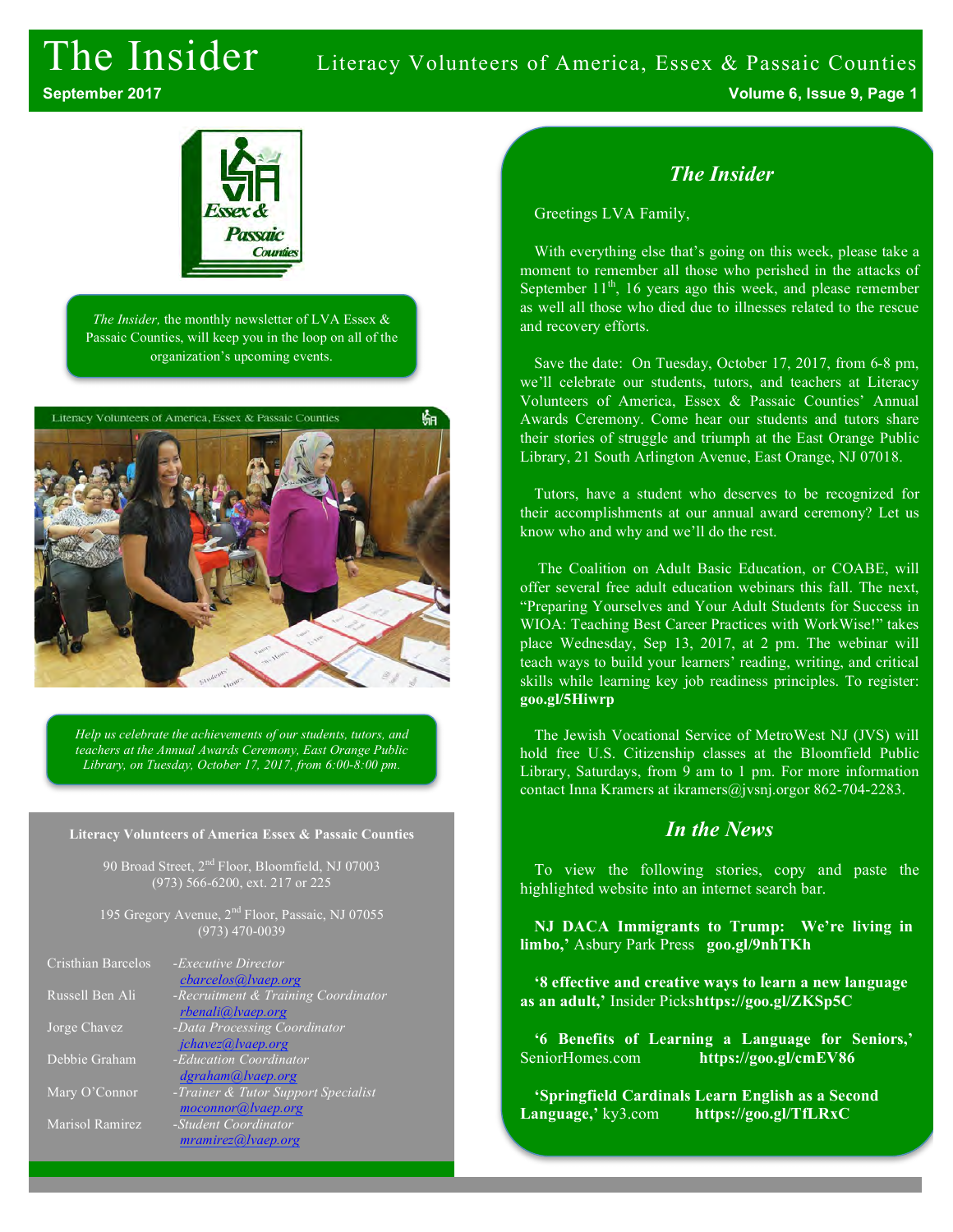## The Insider Literacy Volunteers of America, Essex & Passaic Counties

**September 2017 Volume 6, Issue 9, Page 1**



*The Insider,* the monthly newsletter of LVA Essex & Passaic Counties, will keep you in the loop on all of the organization's upcoming events.



*Help us celebrate the achievements of our students, tutors, and teachers at the Annual Awards Ceremony, East Orange Public Library, on Tuesday, October 17, 2017, from 6:00-8:00 pm.*

#### **Literacy Volunteers of America Essex & Passaic Counties**

90 Broad Street, 2<sup>nd</sup> Floor, Bloomfield, NJ 07003 (973) 566-6200, ext. 217 or 225

195 Gregory Avenue, 2<sup>nd</sup> Floor, Passaic, NJ 07055 (973) 470-0039

| Cristhian Barcelos | -Executive Director<br>cbarcelos@lvaep.org                |
|--------------------|-----------------------------------------------------------|
| Russell Ben Ali    | -Recruitment & Training Coordinator<br>rbenali@lvaep.org  |
| Jorge Chavez       | -Data Processing Coordinator<br>jchavez@lvaep.org         |
| Debbie Graham      | -Education Coordinator<br>dgraham@lvaep.org               |
| Mary O'Connor      | -Trainer & Tutor Support Specialist<br>moconnor@lvaep.org |
| Marisol Ramirez    | -Student Coordinator<br>mramirez@ vaep.org                |

### *The Insider*

Greetings LVA Family,

With everything else that's going on this week, please take a moment to remember all those who perished in the attacks of September  $11<sup>th</sup>$ , 16 years ago this week, and please remember as well all those who died due to illnesses related to the rescue and recovery efforts.

Save the date: On Tuesday, October 17, 2017, from 6-8 pm, we'll celebrate our students, tutors, and teachers at Literacy Volunteers of America, Essex & Passaic Counties' Annual Awards Ceremony. Come hear our students and tutors share their stories of struggle and triumph at the East Orange Public Library, 21 South Arlington Avenue, East Orange, NJ 07018.

Tutors, have a student who deserves to be recognized for their accomplishments at our annual award ceremony? Let us know who and why and we'll do the rest.

The Coalition on Adult Basic Education, or COABE, will offer several free adult education webinars this fall. The next, "Preparing Yourselves and Your Adult Students for Success in WIOA: Teaching Best Career Practices with WorkWise!" takes place Wednesday, Sep 13, 2017, at 2 pm. The webinar will teach ways to build your learners' reading, writing, and critical skills while learning key job readiness principles. To register: **goo.gl/5Hiwrp**

The Jewish Vocational Service of MetroWest NJ (JVS) will hold free U.S. Citizenship classes at the Bloomfield Public Library, Saturdays, from 9 am to 1 pm. For more information contact Inna Kramers at ikramers@jvsnj.orgor 862-704-2283.

#### *In the News*

To view the following stories, copy and paste the highlighted website into an internet search bar.

**NJ DACA Immigrants to Trump: We're living in limbo,'** Asbury Park Press **goo.gl/9nhTKh**

**'8 effective and creative ways to learn a new language as an adult,'** Insider Picks**https://goo.gl/ZKSp5C**

**'6 Benefits of Learning a Language for Seniors,'**  SeniorHomes.com **https://goo.gl/cmEV86** 

**'Springfield Cardinals Learn English as a Second Language,'** ky3.com **https://goo.gl/TfLRxC**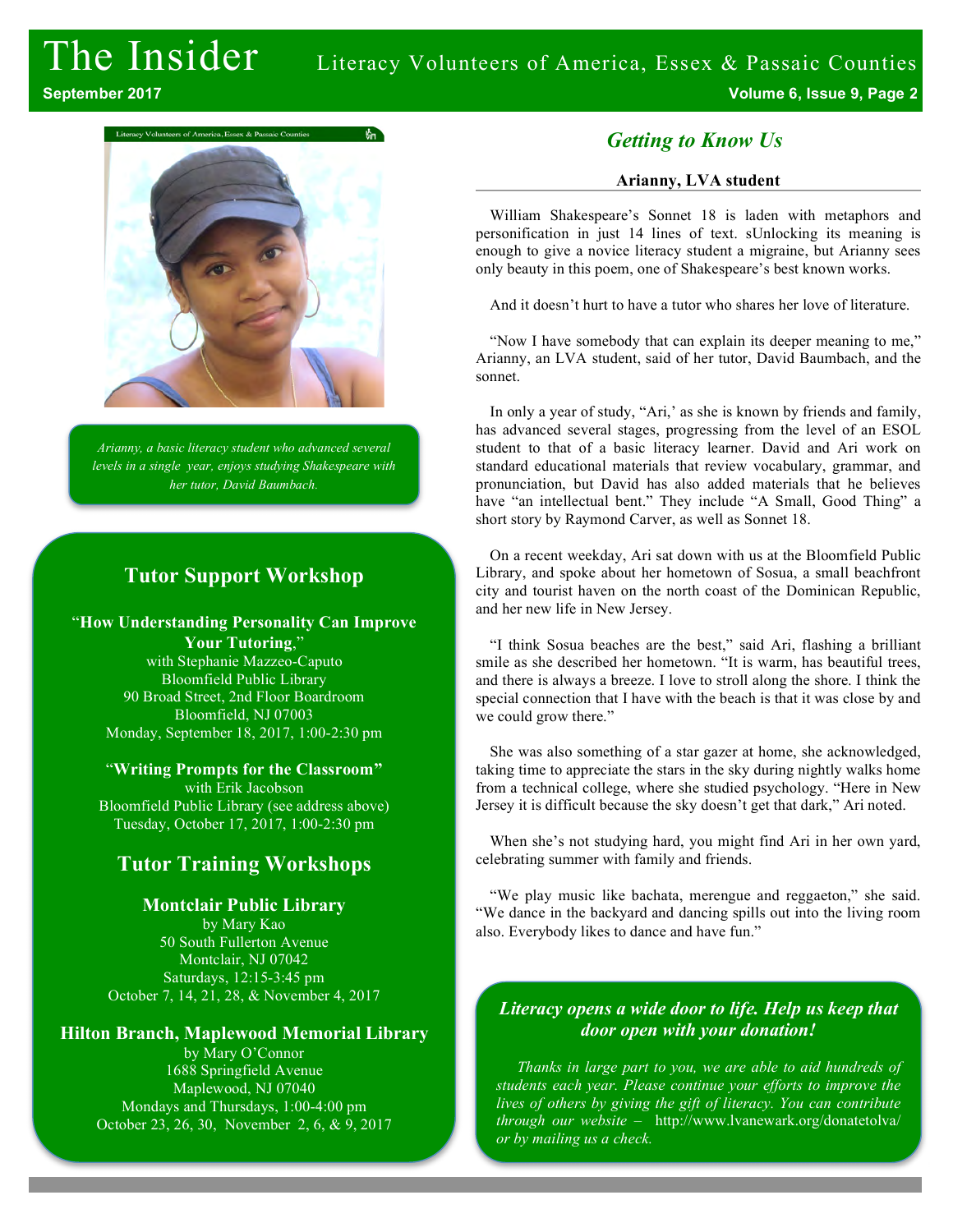# The Insider Literacy Volunteers of America, Essex & Passaic Counties





*Arianny, a basic literacy student who advanced several levels in a single year, enjoys studying Shakespeare with her tutor, David Baumbach.*

#### **Tutor Support Workshop**

"**How Understanding Personality Can Improve Your Tutoring**,"

with Stephanie Mazzeo-Caputo Bloomfield Public Library 90 Broad Street, 2nd Floor Boardroom Bloomfield, NJ 07003 Monday, September 18, 2017, 1:00-2:30 pm

"**Writing Prompts for the Classroom"** with Erik Jacobson Bloomfield Public Library (see address above) Tuesday, October 17, 2017, 1:00-2:30 pm

## **Tutor Training Workshops**

#### **Montclair Public Library**

by Mary Kao 50 South Fullerton Avenue Montclair, NJ 07042 Saturdays, 12:15-3:45 pm October 7, 14, 21, 28, & November 4, 2017

#### **Hilton Branch, Maplewood Memorial Library**

by Mary O'Connor 1688 Springfield Avenue Maplewood, NJ 07040 Mondays and Thursdays, 1:00-4:00 pm October 23, 26, 30, November 2, 6, & 9, 2017

#### *Getting to Know Us*

#### **Arianny, LVA student**

William Shakespeare's Sonnet 18 is laden with metaphors and personification in just 14 lines of text. sUnlocking its meaning is enough to give a novice literacy student a migraine, but Arianny sees only beauty in this poem, one of Shakespeare's best known works.

And it doesn't hurt to have a tutor who shares her love of literature.

"Now I have somebody that can explain its deeper meaning to me," Arianny, an LVA student, said of her tutor, David Baumbach, and the sonnet.

In only a year of study, "Ari,' as she is known by friends and family, has advanced several stages, progressing from the level of an ESOL student to that of a basic literacy learner. David and Ari work on standard educational materials that review vocabulary, grammar, and pronunciation, but David has also added materials that he believes have "an intellectual bent." They include "A Small, Good Thing" a short story by Raymond Carver, as well as Sonnet 18.

On a recent weekday, Ari sat down with us at the Bloomfield Public Library, and spoke about her hometown of Sosua, a small beachfront city and tourist haven on the north coast of the Dominican Republic, and her new life in New Jersey.

"I think Sosua beaches are the best," said Ari, flashing a brilliant smile as she described her hometown. "It is warm, has beautiful trees, and there is always a breeze. I love to stroll along the shore. I think the special connection that I have with the beach is that it was close by and we could grow there."

She was also something of a star gazer at home, she acknowledged, taking time to appreciate the stars in the sky during nightly walks home from a technical college, where she studied psychology. "Here in New Jersey it is difficult because the sky doesn't get that dark," Ari noted.

When she's not studying hard, you might find Ari in her own yard, celebrating summer with family and friends.

"We play music like bachata, merengue and reggaeton," she said. "We dance in the backyard and dancing spills out into the living room also. Everybody likes to dance and have fun."

#### *Literacy opens a wide door to life. Help us keep that door open with your donation!*

*Thanks in large part to you, we are able to aid hundreds of students each year. Please continue your efforts to improve the lives of others by giving the gift of literacy. You can contribute through our website* – http://www.lvanewark.org/donatetolva/ *or by mailing us a check.*